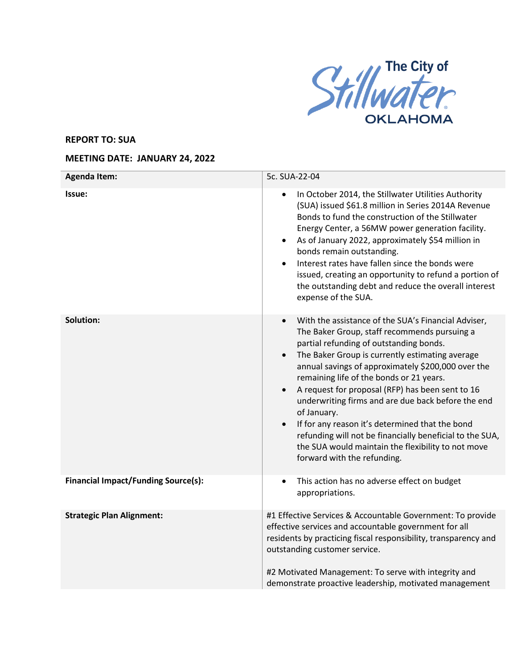

## **REPORT TO: SUA**

## **MEETING DATE: JANUARY 24, 2022**

| <b>Agenda Item:</b>                        | 5c. SUA-22-04                                                                                                                                                                                                                                                                                                                                                                                                                                                                                                                                                                                                                                                                        |
|--------------------------------------------|--------------------------------------------------------------------------------------------------------------------------------------------------------------------------------------------------------------------------------------------------------------------------------------------------------------------------------------------------------------------------------------------------------------------------------------------------------------------------------------------------------------------------------------------------------------------------------------------------------------------------------------------------------------------------------------|
| Issue:                                     | In October 2014, the Stillwater Utilities Authority<br>(SUA) issued \$61.8 million in Series 2014A Revenue<br>Bonds to fund the construction of the Stillwater<br>Energy Center, a 56MW power generation facility.<br>As of January 2022, approximately \$54 million in<br>$\bullet$<br>bonds remain outstanding.<br>Interest rates have fallen since the bonds were<br>issued, creating an opportunity to refund a portion of<br>the outstanding debt and reduce the overall interest<br>expense of the SUA.                                                                                                                                                                        |
| <b>Solution:</b>                           | With the assistance of the SUA's Financial Adviser,<br>$\bullet$<br>The Baker Group, staff recommends pursuing a<br>partial refunding of outstanding bonds.<br>The Baker Group is currently estimating average<br>$\bullet$<br>annual savings of approximately \$200,000 over the<br>remaining life of the bonds or 21 years.<br>A request for proposal (RFP) has been sent to 16<br>$\bullet$<br>underwriting firms and are due back before the end<br>of January.<br>If for any reason it's determined that the bond<br>$\bullet$<br>refunding will not be financially beneficial to the SUA,<br>the SUA would maintain the flexibility to not move<br>forward with the refunding. |
| <b>Financial Impact/Funding Source(s):</b> | This action has no adverse effect on budget<br>$\bullet$<br>appropriations.                                                                                                                                                                                                                                                                                                                                                                                                                                                                                                                                                                                                          |
| <b>Strategic Plan Alignment:</b>           | #1 Effective Services & Accountable Government: To provide<br>effective services and accountable government for all<br>residents by practicing fiscal responsibility, transparency and<br>outstanding customer service.<br>#2 Motivated Management: To serve with integrity and<br>demonstrate proactive leadership, motivated management                                                                                                                                                                                                                                                                                                                                            |